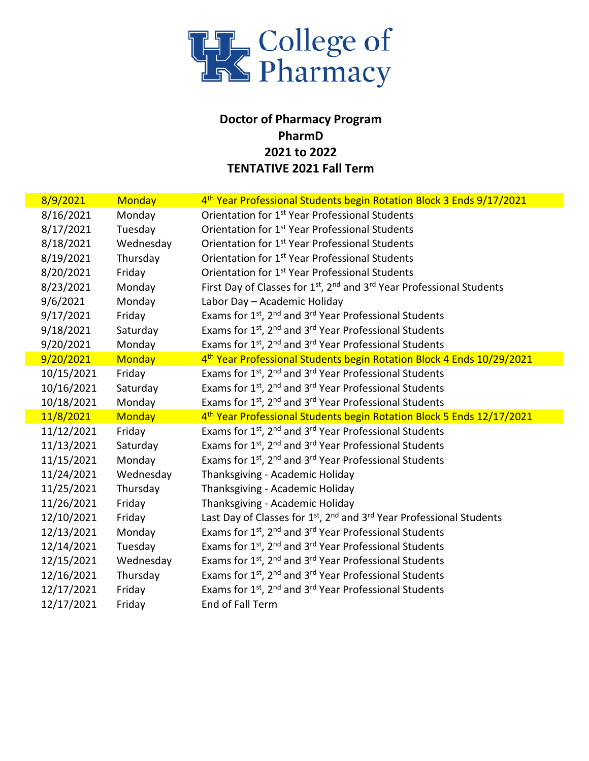

## **Doctor of Pharmacy Program PharmD 2021 to 2022 TENTATIVE 2021 Fall Term**

| 8/9/2021   | Monday        | 4 <sup>th</sup> Year Professional Students begin Rotation Block 3 Ends 9/17/2021                          |
|------------|---------------|-----------------------------------------------------------------------------------------------------------|
| 8/16/2021  | Monday        | Orientation for 1 <sup>st</sup> Year Professional Students                                                |
| 8/17/2021  | Tuesday       | Orientation for 1 <sup>st</sup> Year Professional Students                                                |
| 8/18/2021  | Wednesday     | Orientation for 1 <sup>st</sup> Year Professional Students                                                |
| 8/19/2021  | Thursday      | Orientation for 1 <sup>st</sup> Year Professional Students                                                |
| 8/20/2021  | Friday        | Orientation for 1 <sup>st</sup> Year Professional Students                                                |
| 8/23/2021  | Monday        | First Day of Classes for 1 <sup>st</sup> , 2 <sup>nd</sup> and 3 <sup>rd</sup> Year Professional Students |
| 9/6/2021   | Monday        | Labor Day - Academic Holiday                                                                              |
| 9/17/2021  | Friday        | Exams for 1 <sup>st</sup> , 2 <sup>nd</sup> and 3 <sup>rd</sup> Year Professional Students                |
| 9/18/2021  | Saturday      | Exams for 1 <sup>st</sup> , 2 <sup>nd</sup> and 3 <sup>rd</sup> Year Professional Students                |
| 9/20/2021  | Monday        | Exams for 1 <sup>st</sup> , 2 <sup>nd</sup> and 3 <sup>rd</sup> Year Professional Students                |
| 9/20/2021  | <b>Monday</b> | 4 <sup>th</sup> Year Professional Students begin Rotation Block 4 Ends 10/29/2021                         |
| 10/15/2021 | Friday        | Exams for 1 <sup>st</sup> , 2 <sup>nd</sup> and 3 <sup>rd</sup> Year Professional Students                |
| 10/16/2021 | Saturday      | Exams for 1st, 2 <sup>nd</sup> and 3 <sup>rd</sup> Year Professional Students                             |
| 10/18/2021 | Monday        | Exams for 1st, 2 <sup>nd</sup> and 3 <sup>rd</sup> Year Professional Students                             |
| 11/8/2021  | <b>Monday</b> | 4 <sup>th</sup> Year Professional Students begin Rotation Block 5 Ends 12/17/2021                         |
| 11/12/2021 | Friday        | Exams for 1 <sup>st</sup> , 2 <sup>nd</sup> and 3 <sup>rd</sup> Year Professional Students                |
| 11/13/2021 | Saturday      | Exams for 1 <sup>st</sup> , 2 <sup>nd</sup> and 3 <sup>rd</sup> Year Professional Students                |
| 11/15/2021 | Monday        | Exams for 1 <sup>st</sup> , 2 <sup>nd</sup> and 3 <sup>rd</sup> Year Professional Students                |
| 11/24/2021 | Wednesday     | Thanksgiving - Academic Holiday                                                                           |
| 11/25/2021 | Thursday      | Thanksgiving - Academic Holiday                                                                           |
| 11/26/2021 | Friday        | Thanksgiving - Academic Holiday                                                                           |
| 12/10/2021 | Friday        | Last Day of Classes for 1 <sup>st</sup> , 2 <sup>nd</sup> and 3 <sup>rd</sup> Year Professional Students  |
| 12/13/2021 | Monday        | Exams for 1 <sup>st</sup> , 2 <sup>nd</sup> and 3 <sup>rd</sup> Year Professional Students                |
| 12/14/2021 | Tuesday       | Exams for 1 <sup>st</sup> , 2 <sup>nd</sup> and 3 <sup>rd</sup> Year Professional Students                |
| 12/15/2021 | Wednesday     | Exams for 1 <sup>st</sup> , 2 <sup>nd</sup> and 3 <sup>rd</sup> Year Professional Students                |
| 12/16/2021 | Thursday      | Exams for 1 <sup>st</sup> , 2 <sup>nd</sup> and 3 <sup>rd</sup> Year Professional Students                |
| 12/17/2021 | Friday        | Exams for 1 <sup>st</sup> , 2 <sup>nd</sup> and 3 <sup>rd</sup> Year Professional Students                |
| 12/17/2021 | Friday        | End of Fall Term                                                                                          |